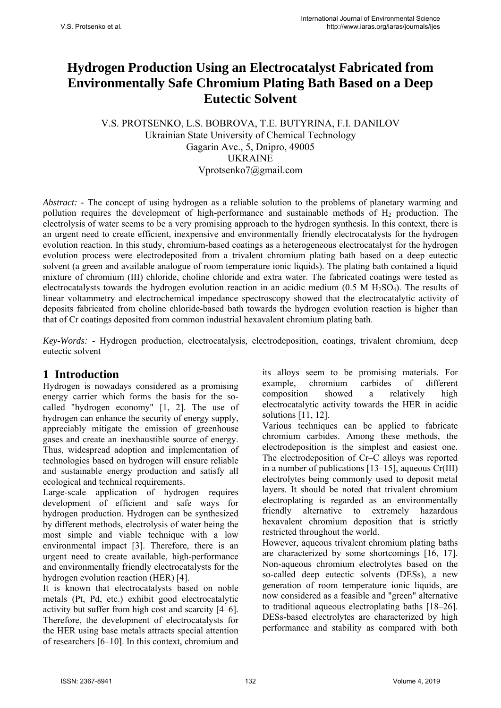# **Hydrogen Production Using an Electrocatalyst Fabricated from Environmentally Safe Chromium Plating Bath Based on a Deep Eutectic Solvent**

#### V.S. PROTSENKO, L.S. BOBROVA, T.E. BUTYRINA, F.I. DANILOV Ukrainian State University of Chemical Technology Gagarin Ave., 5, Dnipro, 49005 UKRAINE Vprotsenko7@gmail.com

*Abstract: -* The concept of using hydrogen as a reliable solution to the problems of planetary warming and pollution requires the development of high-performance and sustainable methods of  $H_2$  production. The electrolysis of water seems to be a very promising approach to the hydrogen synthesis. In this context, there is an urgent need to create efficient, inexpensive and environmentally friendly electrocatalysts for the hydrogen evolution reaction. In this study, chromium-based coatings as a heterogeneous electrocatalyst for the hydrogen evolution process were electrodeposited from a trivalent chromium plating bath based on a deep eutectic solvent (a green and available analogue of room temperature ionic liquids). The plating bath contained a liquid mixture of chromium (III) chloride, choline chloride and extra water. The fabricated coatings were tested as electrocatalysts towards the hydrogen evolution reaction in an acidic medium  $(0.5 M H<sub>2</sub>SO<sub>4</sub>)$ . The results of linear voltammetry and electrochemical impedance spectroscopy showed that the electrocatalytic activity of deposits fabricated from choline chloride-based bath towards the hydrogen evolution reaction is higher than that of Cr coatings deposited from common industrial hexavalent chromium plating bath.

*Key-Words: -* Hydrogen production, electrocatalysis, electrodeposition, coatings, trivalent chromium, deep eutectic solvent

## **1 Introduction**

Hydrogen is nowadays considered as a promising energy carrier which forms the basis for the socalled "hydrogen economy" [1, 2]. The use of hydrogen can enhance the security of energy supply, appreciably mitigate the emission of greenhouse gases and create an inexhaustible source of energy. Thus, widespread adoption and implementation of technologies based on hydrogen will ensure reliable and sustainable energy production and satisfy all ecological and technical requirements.

Large-scale application of hydrogen requires development of efficient and safe ways for hydrogen production. Hydrogen can be synthesized by different methods, electrolysis of water being the most simple and viable technique with a low environmental impact [3]. Therefore, there is an urgent need to create available, high-performance and environmentally friendly electrocatalysts for the hydrogen evolution reaction (HER) [4].

It is known that electrocatalysts based on noble metals (Pt, Pd, etc.) exhibit good electrocatalytic activity but suffer from high cost and scarcity [4–6]. Therefore, the development of electrocatalysts for the HER using base metals attracts special attention of researchers [6–10]. In this context, chromium and its alloys seem to be promising materials. For example, chromium carbides of different composition showed a relatively high electrocatalytic activity towards the HER in acidic solutions [11, 12].

Various techniques can be applied to fabricate chromium carbides. Among these methods, the electrodeposition is the simplest and easiest one. The electrodeposition of Cr–C alloys was reported in a number of publications [13–15], aqueous Cr(III) electrolytes being commonly used to deposit metal layers. It should be noted that trivalent chromium electroplating is regarded as an environmentally friendly alternative to extremely hazardous hexavalent chromium deposition that is strictly restricted throughout the world.

However, aqueous trivalent chromium plating baths are characterized by some shortcomings [16, 17]. Non-aqueous chromium electrolytes based on the so-called deep eutectic solvents (DESs), a new generation of room temperature ionic liquids, are now considered as a feasible and "green" alternative to traditional aqueous electroplating baths [18–26]. DESs-based electrolytes are characterized by high performance and stability as compared with both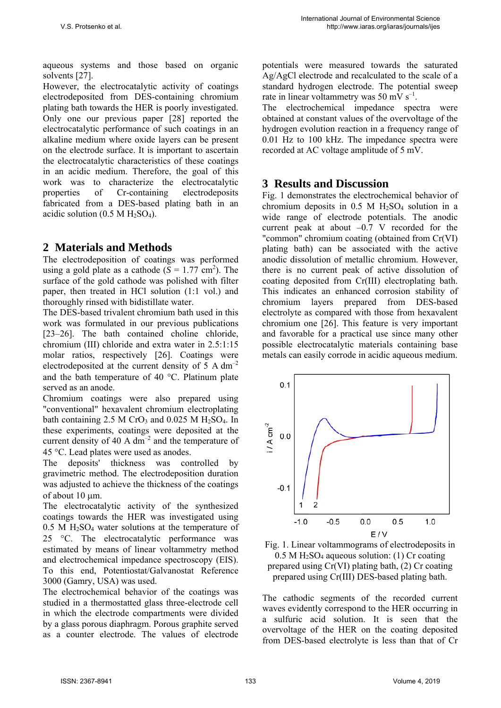aqueous systems and those based on organic solvents [27].

However, the electrocatalytic activity of coatings electrodeposited from DES-containing chromium plating bath towards the HER is poorly investigated. Only one our previous paper [28] reported the electrocatalytic performance of such coatings in an alkaline medium where oxide layers can be present on the electrode surface. It is important to ascertain the electrocatalytic characteristics of these coatings in an acidic medium. Therefore, the goal of this work was to characterize the electrocatalytic properties of Cr-containing electrodeposits fabricated from a DES-based plating bath in an acidic solution  $(0.5 M H<sub>2</sub>SO<sub>4</sub>)$ .

# **2 Materials and Methods**

The electrodeposition of coatings was performed using a gold plate as a cathode  $(S = 1.77 \text{ cm}^2)$ . The surface of the gold cathode was polished with filter paper, then treated in HCl solution (1:1 vol.) and thoroughly rinsed with bidistillate water.

The DES-based trivalent chromium bath used in this work was formulated in our previous publications [23–26]. The bath contained choline chloride, chromium (III) chloride and extra water in 2.5:1:15 molar ratios, respectively [26]. Coatings were electrodeposited at the current density of  $5 \text{ A dm}^{-2}$ and the bath temperature of 40  $^{\circ}$ C. Platinum plate served as an anode.

Chromium coatings were also prepared using "conventional" hexavalent chromium electroplating bath containing 2.5 M CrO<sub>3</sub> and  $0.025$  M H<sub>2</sub>SO<sub>4</sub>. In these experiments, coatings were deposited at the current density of 40 A  $dm^{-2}$  and the temperature of 45 °C. Lead plates were used as anodes.

The deposits' thickness was controlled by gravimetric method. The electrodeposition duration was adjusted to achieve the thickness of the coatings of about 10 um.

The electrocatalytic activity of the synthesized coatings towards the HER was investigated using  $0.5$  M H<sub>2</sub>SO<sub>4</sub> water solutions at the temperature of 25  $\degree$ C. The electrocatalytic performance was estimated by means of linear voltammetry method and electrochemical impedance spectroscopy (EIS). To this end, Potentiostat/Galvanostat Reference 3000 (Gamry, USA) was used.

The electrochemical behavior of the coatings was studied in a thermostatted glass three-electrode cell in which the electrode compartments were divided by a glass porous diaphragm. Porous graphite served as a counter electrode. The values of electrode potentials were measured towards the saturated Ag/AgCl electrode and recalculated to the scale of a standard hydrogen electrode. The potential sweep rate in linear voltammetry was 50 mV  $s^{-1}$ .

The electrochemical impedance spectra were obtained at constant values of the overvoltage of the hydrogen evolution reaction in a frequency range of 0.01 Hz to 100 kHz. The impedance spectra were recorded at AC voltage amplitude of 5 mV.

## **3 Results and Discussion**

Fig. 1 demonstrates the electrochemical behavior of chromium deposits in  $0.5$  M  $H<sub>2</sub>SO<sub>4</sub>$  solution in a wide range of electrode potentials. The anodic current peak at about  $-0.7$  V recorded for the "common" chromium coating (obtained from Cr(VI) plating bath) can be associated with the active anodic dissolution of metallic chromium. However, there is no current peak of active dissolution of coating deposited from Cr(III) electroplating bath. This indicates an enhanced corrosion stability of chromium layers prepared from DES-based electrolyte as compared with those from hexavalent chromium one [26]. This feature is very important and favorable for a practical use since many other possible electrocatalytic materials containing base metals can easily corrode in acidic aqueous medium.





The cathodic segments of the recorded current waves evidently correspond to the HER occurring in a sulfuric acid solution. It is seen that the overvoltage of the HER on the coating deposited from DES-based electrolyte is less than that of Cr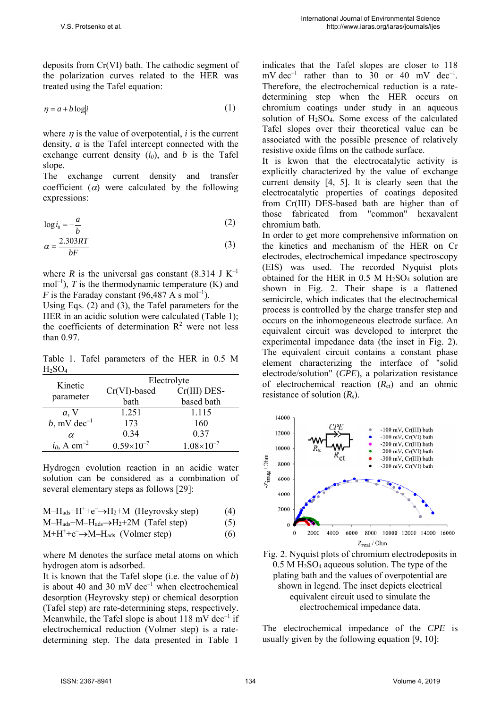deposits from Cr(VI) bath. The cathodic segment of the polarization curves related to the HER was treated using the Tafel equation:

$$
\eta = a + b \log|i| \tag{1}
$$

where  $\eta$  is the value of overpotential, *i* is the current density, *a* is the Tafel intercept connected with the exchange current density  $(i_0)$ , and *b* is the Tafel slope.

The exchange current density and transfer coefficient  $(\alpha)$  were calculated by the following expressions:

$$
\log i_0 = -\frac{a}{b} \tag{2}
$$

$$
\alpha = \frac{2.303RT}{bF} \tag{3}
$$

where *R* is the universal gas constant  $(8.314 \text{ J K}^{-1})$ mol<sup>-1</sup>), *T* is the thermodynamic temperature  $(K)$  and *F* is the Faraday constant (96,487 A s mol<sup>-1</sup>).

Using Eqs. (2) and (3), the Tafel parameters for the HER in an acidic solution were calculated (Table 1): the coefficients of determination  $R^2$  were not less than 0.97.

Table 1. Tafel parameters of the HER in 0.5 M  $H<sub>2</sub>SO<sub>4</sub>$ 

| Kinetic<br>parameter       | Electrolyte         |                     |  |  |
|----------------------------|---------------------|---------------------|--|--|
|                            | $Cr(VI)$ -based     | $Cr(III)$ DES-      |  |  |
|                            | bath                | based bath          |  |  |
| a, V                       | 1.251               | 1.115               |  |  |
| $b$ , mV dec <sup>-1</sup> | 173                 | 160                 |  |  |
| $\alpha$                   | 0.34                | 0.37                |  |  |
| $i_0$ , A cm <sup>-2</sup> | $0.59\times10^{-7}$ | $1.08\times10^{-7}$ |  |  |

Hydrogen evolution reaction in an acidic water solution can be considered as a combination of several elementary steps as follows [29]:

$$
M-Hads+H++e- \to H2+M (Heyrovsky step)
$$
 (4)

$$
M-Hads+M-Hads\rightarrow H2+2M (Tafel step)
$$
 (5)

 $M + H^+ + e^- \rightarrow M - H_{ads}$  (Volmer step) (6)

where M denotes the surface metal atoms on which hydrogen atom is adsorbed.

It is known that the Tafel slope (i.e. the value of *b*) is about 40 and 30 mV dec<sup>-1</sup> when electrochemical desorption (Heyrovsky step) or chemical desorption (Tafel step) are rate-determining steps, respectively. Meanwhile, the Tafel slope is about  $118 \text{ mV}$  dec<sup>-1</sup> if electrochemical reduction (Volmer step) is a ratedetermining step. The data presented in Table 1

indicates that the Tafel slopes are closer to 118  $mV$  dec<sup>-1</sup> rather than to  $30$  or 40 mV dec<sup>-1</sup>. Therefore, the electrochemical reduction is a ratedetermining step when the HER occurs on chromium coatings under study in an aqueous solution of  $H_2SO_4$ . Some excess of the calculated Tafel slopes over their theoretical value can be associated with the possible presence of relatively resistive oxide films on the cathode surface.

It is kwon that the electrocatalytic activity is explicitly characterized by the value of exchange current density [4, 5]. It is clearly seen that the electrocatalytic properties of coatings deposited from Cr(III) DES-based bath are higher than of those fabricated from "common" hexavalent chromium bath.

In order to get more comprehensive information on the kinetics and mechanism of the HER on Cr electrodes, electrochemical impedance spectroscopy (EIS) was used. The recorded Nyquist plots obtained for the HER in  $0.5$  M  $H<sub>2</sub>SO<sub>4</sub>$  solution are shown in Fig. 2. Their shape is a flattened semicircle, which indicates that the electrochemical process is controlled by the charge transfer step and occurs on the inhomogeneous electrode surface. An equivalent circuit was developed to interpret the experimental impedance data (the inset in Fig. 2). The equivalent circuit contains a constant phase element characterizing the interface of "solid electrode/solution" (*CPE*), a polarization resistance of electrochemical reaction  $(R<sub>ct</sub>)$  and an ohmic resistance of solution (*R*s).





The electrochemical impedance of the *CPE* is usually given by the following equation [9, 10]: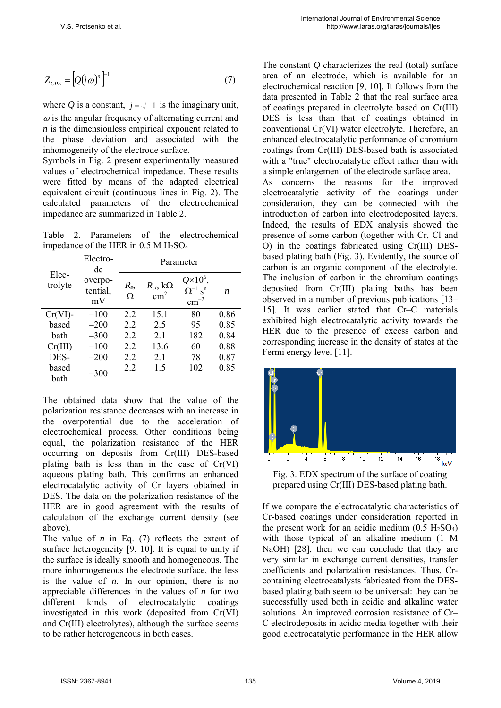$$
Z_{\text{CPE}} = \left[ Q(i\omega)^n \right]^{-1} \tag{7}
$$

where *Q* is a constant,  $j = \sqrt{-1}$  is the imaginary unit,  $\omega$  is the angular frequency of alternating current and *n* is the dimensionless empirical exponent related to the phase deviation and associated with the inhomogeneity of the electrode surface.

Symbols in Fig. 2 present experimentally measured values of electrochemical impedance. These results were fitted by means of the adapted electrical equivalent circuit (continuous lines in Fig. 2). The calculated parameters of the electrochemical impedance are summarized in Table 2.

Table 2. Parameters of the electrochemical impedance of the HER in  $0.5$  M  $H<sub>2</sub>SO<sub>4</sub>$ 

| Elec-<br>trolyte | Electro-<br>de<br>overpo-<br>tential,<br>mV | Parameter    |                                        |                                                                  |      |
|------------------|---------------------------------------------|--------------|----------------------------------------|------------------------------------------------------------------|------|
|                  |                                             | $R_{s}$<br>Ω | $R_{ct}$ , k $\Omega$<br>$\text{cm}^2$ | $Q\times10^6$ ,<br>$\Omega^{-1}$ s <sup>n</sup><br>$\rm cm^{-2}$ | n.   |
| $Cr(VI)$ -       | $-100$                                      | 22           | 15.1                                   | 80                                                               | 0.86 |
| based            | $-200$                                      | 22           | 2.5                                    | 95                                                               | 0.85 |
| bath             | $-300$                                      | 2.2          | 21                                     | 182                                                              | 0.84 |
| Cr(III)          | $-100$                                      | 2.2          | 13.6                                   | 60                                                               | 0.88 |
| DES-             | $-200$                                      | 2.2          | 21                                     | 78                                                               | 0.87 |
| based<br>bath    | $-300$                                      | 2.2          | 1.5                                    | 102                                                              | 0.85 |

The obtained data show that the value of the polarization resistance decreases with an increase in the overpotential due to the acceleration of electrochemical process. Other conditions being equal, the polarization resistance of the HER occurring on deposits from Cr(III) DES-based plating bath is less than in the case of Cr(VI) aqueous plating bath. This confirms an enhanced electrocatalytic activity of Cr layers obtained in DES. The data on the polarization resistance of the HER are in good agreement with the results of calculation of the exchange current density (see above).

The value of  $n$  in Eq. (7) reflects the extent of surface heterogeneity [9, 10]. It is equal to unity if the surface is ideally smooth and homogeneous. The more inhomogeneous the electrode surface, the less is the value of *n*. In our opinion, there is no appreciable differences in the values of *n* for two different kinds of electrocatalytic coatings investigated in this work (deposited from Cr(VI) and Cr(III) electrolytes), although the surface seems to be rather heterogeneous in both cases.

The constant *Q* characterizes the real (total) surface area of an electrode, which is available for an electrochemical reaction [9, 10]. It follows from the data presented in Table 2 that the real surface area of coatings prepared in electrolyte based on Cr(III) DES is less than that of coatings obtained in conventional Cr(VI) water electrolyte. Therefore, an enhanced electrocatalytic performance of chromium coatings from Cr(III) DES-based bath is associated with a "true" electrocatalytic effect rather than with a simple enlargement of the electrode surface area. As concerns the reasons for the improved electrocatalytic activity of the coatings under consideration, they can be connected with the introduction of carbon into electrodeposited layers. Indeed, the results of EDX analysis showed the presence of some carbon (together with Cr, Cl and O) in the coatings fabricated using Cr(III) DESbased plating bath (Fig. 3). Evidently, the source of carbon is an organic component of the electrolyte. The inclusion of carbon in the chromium coatings deposited from Cr(III) plating baths has been observed in a number of previous publications [13– 15]. It was earlier stated that Cr–C materials exhibited high electrocatalytic activity towards the HER due to the presence of excess carbon and corresponding increase in the density of states at the Fermi energy level [11].



Fig. 3. EDX spectrum of the surface of coating prepared using Cr(III) DES-based plating bath.

If we compare the electrocatalytic characteristics of Cr-based coatings under consideration reported in the present work for an acidic medium  $(0.5 \text{ H}_2\text{SO}_4)$ with those typical of an alkaline medium (1 M NaOH) [28], then we can conclude that they are very similar in exchange current densities, transfer coefficients and polarization resistances. Thus, Crcontaining electrocatalysts fabricated from the DESbased plating bath seem to be universal: they can be successfully used both in acidic and alkaline water solutions. An improved corrosion resistance of Cr– C electrodeposits in acidic media together with their good electrocatalytic performance in the HER allow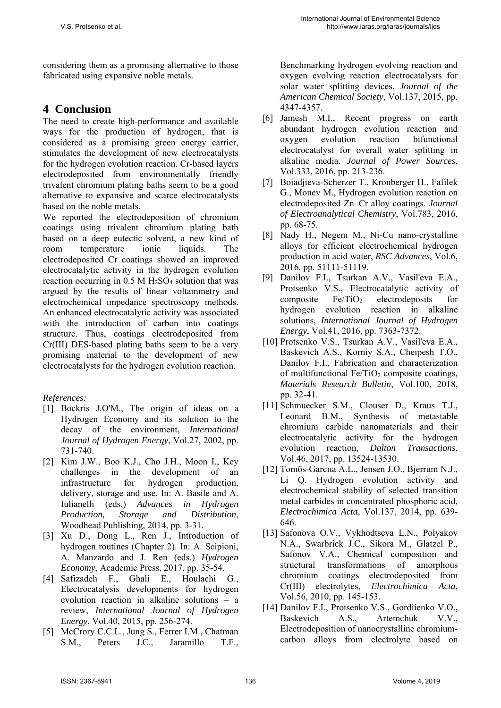considering them as a promising alternative to those fabricated using expansive noble metals.

# **4 Conclusion**

The need to create high-performance and available ways for the production of hydrogen, that is considered as a promising green energy carrier, stimulates the development of new electrocatalysts for the hydrogen evolution reaction. Cr-based layers electrodeposited from environmentally friendly trivalent chromium plating baths seem to be a good alternative to expansive and scarce electrocatalysts based on the noble metals.

We reported the electrodeposition of chromium coatings using trivalent chromium plating bath based on a deep eutectic solvent, a new kind of room temperature ionic liquids. The electrodeposited Cr coatings showed an improved electrocatalytic activity in the hydrogen evolution reaction occurring in  $0.5$  M  $H<sub>2</sub>SO<sub>4</sub>$  solution that was argued by the results of linear voltammetry and electrochemical impedance spectroscopy methods. An enhanced electrocatalytic activity was associated with the introduction of carbon into coatings structure. Thus, coatings electrodeposited from Cr(III) DES-based plating baths seem to be a very promising material to the development of new electrocatalysts for the hydrogen evolution reaction.

#### *References:*

- [1] Bockris J.O'M., The origin of ideas on a Hydrogen Economy and its solution to the decay of the environment, *International Journal of Hydrogen Energy*, Vol.27, 2002, pp. 731-740.
- [2] Kim J.W., Boo K.J., Cho J.H., Moon I., Key challenges in the development of an infrastructure for hydrogen production, delivery, storage and use. In: A. Basile and A. Iulianelli (eds.) *Advances in Hydrogen Production, Storage and Distribution*, Woodhead Publishing, 2014, pp. 3-31.
- [3] Xu D., Dong L., Ren J., Introduction of hydrogen routines (Chapter 2). In: A. Scipioni, A. Manzardo and J. Ren (eds.) *Hydrogen Economy*, Academic Press, 2017, pp. 35-54.
- [4] Safizadeh F., Ghali E., Houlachi G., Electrocatalysis developments for hydrogen evolution reaction in alkaline solutions – a review, *International Journal of Hydrogen Energy*, Vol.40, 2015, pp. 256-274.
- [5] McCrory C.C.L., Jung S., Ferrer I.M., Chatman S.M., Peters J.C., Jaramillo T.F.,

Benchmarking hydrogen evolving reaction and oxygen evolving reaction electrocatalysts for solar water splitting devices, *Journal of the American Chemical Society*, Vol.137, 2015, pp. 4347-4357.

- [6] Jamesh M.I., Recent progress on earth abundant hydrogen evolution reaction and oxygen evolution reaction bifunctional electrocatalyst for overall water splitting in alkaline media. *Journal of Power Sources*, Vol.333, 2016, pp. 213-236.
- [7] Boiadjieva-Scherzer T., Kronberger H., Fafilek G., Monev M., Hydrogen evolution reaction on electrodeposited Zn–Cr alloy coatings. *Journal of Electroanalytical Chemistry*, Vol.783, 2016, pp. 68-75.
- [8] Nady H., Negem M., Ni-Cu nano-crystalline alloys for efficient electrochemical hydrogen production in acid water, *RSC Advances*, Vol.6, 2016, pp. 51111-51119.
- [9] Danilov F.I., Tsurkan A.V., Vasil'eva E.A., Protsenko V.S., Electrocatalytic activity of composite  $Fe/TiO<sub>2</sub>$  electrodeposits for hydrogen evolution reaction in alkaline solutions, *International Journal of Hydrogen Energy*, Vol.41, 2016, pp. 7363-7372.
- [10] Protsenko V.S., Tsurkan A.V., Vasil'eva E.A., Baskevich A.S., Korniy S.A., Cheipesh T.O., Danilov F.I., Fabrication and characterization of multifunctional  $Fe/TiO<sub>2</sub>$  composite coatings, *Materials Research Bulletin*, Vol.100, 2018, pp. 32-41.
- [11] Schmuecker S.M., Clouser D., Kraus T.J., Leonard B.M., Synthesis of metastable chromium carbide nanomaterials and their electrocatalytic activity for the hydrogen evolution reaction, *Dalton Transactions*, Vol.46, 2017, pp. 13524-13530.
- [12] Tomбs-Garcнa A.L., Jensen J.O., Bjerrum N.J., Li Q. Hydrogen evolution activity and electrochemical stability of selected transition metal carbides in concentrated phosphoric acid, *Electrochimica Acta*, Vol.137, 2014, pp. 639- 646.
- [13] Safonova O.V., Vykhodtseva L.N., Polyakov N.A., Swarbrick J.C., Sikora M., Glatzel P., Safonov V.A., Chemical composition and structural transformations of amorphous chromium coatings electrodeposited from Cr(III) electrolytes, *Electrochimica Acta*, Vol.56, 2010, pp. 145-153.
- [14] Danilov F.I., Protsenko V.S., Gordiienko V.O., Baskevich A.S., Artemchuk V.V., Electrodeposition of nanocrystalline chromiumcarbon alloys from electrolyte based on